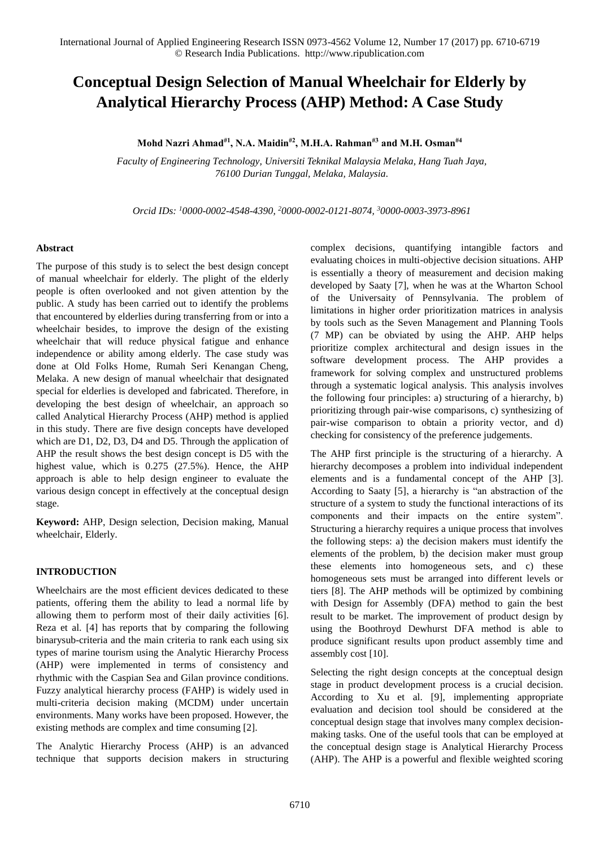# **Conceptual Design Selection of Manual Wheelchair for Elderly by Analytical Hierarchy Process (AHP) Method: A Case Study**

**Mohd Nazri Ahmad#1 , N.A. Maidin#2, M.H.A. Rahman#3 and M.H. Osman#4**

*Faculty of Engineering Technology, Universiti Teknikal Malaysia Melaka, Hang Tuah Jaya, 76100 Durian Tunggal, Melaka, Malaysia.* 

*Orcid IDs: <sup>1</sup>0000-0002-4548-4390, <sup>2</sup>0000-0002-0121-8074, <sup>3</sup>0000-0003-3973-8961* 

# **Abstract**

The purpose of this study is to select the best design concept of manual wheelchair for elderly. The plight of the elderly people is often overlooked and not given attention by the public. A study has been carried out to identify the problems that encountered by elderlies during transferring from or into a wheelchair besides, to improve the design of the existing wheelchair that will reduce physical fatigue and enhance independence or ability among elderly. The case study was done at Old Folks Home, Rumah Seri Kenangan Cheng, Melaka. A new design of manual wheelchair that designated special for elderlies is developed and fabricated. Therefore, in developing the best design of wheelchair, an approach so called Analytical Hierarchy Process (AHP) method is applied in this study. There are five design concepts have developed which are D1, D2, D3, D4 and D5. Through the application of AHP the result shows the best design concept is D5 with the highest value, which is 0.275 (27.5%). Hence, the AHP approach is able to help design engineer to evaluate the various design concept in effectively at the conceptual design stage.

**Keyword:** AHP, Design selection, Decision making, Manual wheelchair, Elderly.

# **INTRODUCTION**

Wheelchairs are the most efficient devices dedicated to these patients, offering them the ability to lead a normal life by allowing them to perform most of their daily activities [6]. Reza et al. [4] has reports that by comparing the following binarysub-criteria and the main criteria to rank each using six types of marine tourism using the Analytic Hierarchy Process (AHP) were implemented in terms of consistency and rhythmic with the Caspian Sea and Gilan province conditions. Fuzzy analytical hierarchy process (FAHP) is widely used in multi-criteria decision making (MCDM) under uncertain environments. Many works have been proposed. However, the existing methods are complex and time consuming [2].

The Analytic Hierarchy Process (AHP) is an advanced technique that supports decision makers in structuring complex decisions, quantifying intangible factors and evaluating choices in multi-objective decision situations. AHP is essentially a theory of measurement and decision making developed by Saaty [7], when he was at the Wharton School of the Universaity of Pennsylvania. The problem of limitations in higher order prioritization matrices in analysis by tools such as the Seven Management and Planning Tools (7 MP) can be obviated by using the AHP. AHP helps prioritize complex architectural and design issues in the software development process. The AHP provides a framework for solving complex and unstructured problems through a systematic logical analysis. This analysis involves the following four principles: a) structuring of a hierarchy, b) prioritizing through pair-wise comparisons, c) synthesizing of pair-wise comparison to obtain a priority vector, and d) checking for consistency of the preference judgements.

The AHP first principle is the structuring of a hierarchy. A hierarchy decomposes a problem into individual independent elements and is a fundamental concept of the AHP [3]. According to Saaty [5], a hierarchy is "an abstraction of the structure of a system to study the functional interactions of its components and their impacts on the entire system". Structuring a hierarchy requires a unique process that involves the following steps: a) the decision makers must identify the elements of the problem, b) the decision maker must group these elements into homogeneous sets, and c) these homogeneous sets must be arranged into different levels or tiers [8]. The AHP methods will be optimized by combining with Design for Assembly (DFA) method to gain the best result to be market. The improvement of product design by using the Boothroyd Dewhurst DFA method is able to produce significant results upon product assembly time and assembly cost [10].

Selecting the right design concepts at the conceptual design stage in product development process is a crucial decision. According to Xu et al. [9], implementing appropriate evaluation and decision tool should be considered at the conceptual design stage that involves many complex decisionmaking tasks. One of the useful tools that can be employed at the conceptual design stage is Analytical Hierarchy Process (AHP). The AHP is a powerful and flexible weighted scoring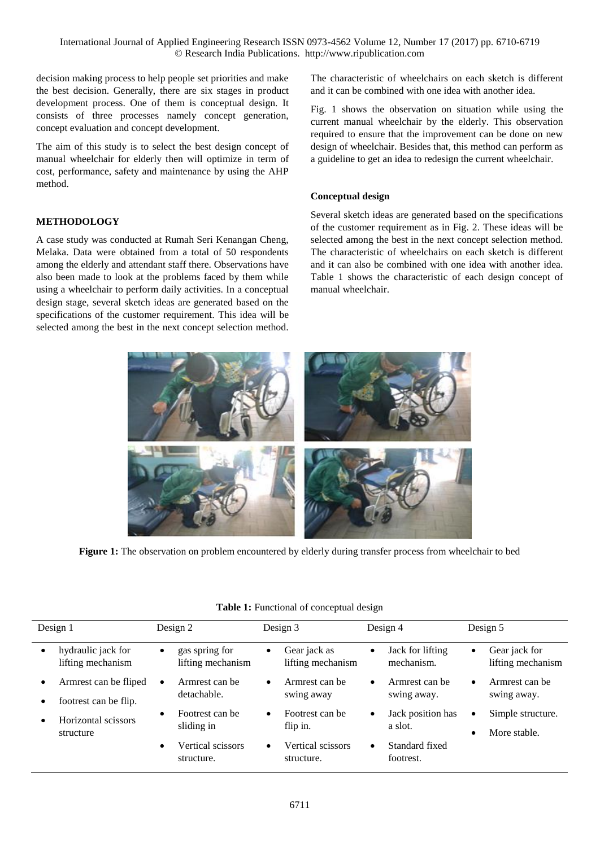decision making process to help people set priorities and make the best decision. Generally, there are six stages in product development process. One of them is conceptual design. It consists of three processes namely concept generation, concept evaluation and concept development.

The aim of this study is to select the best design concept of manual wheelchair for elderly then will optimize in term of cost, performance, safety and maintenance by using the AHP method.

# **METHODOLOGY**

A case study was conducted at Rumah Seri Kenangan Cheng, Melaka. Data were obtained from a total of 50 respondents among the elderly and attendant staff there. Observations have also been made to look at the problems faced by them while using a wheelchair to perform daily activities. In a conceptual design stage, several sketch ideas are generated based on the specifications of the customer requirement. This idea will be selected among the best in the next concept selection method.

The characteristic of wheelchairs on each sketch is different and it can be combined with one idea with another idea.

Fig. 1 shows the observation on situation while using the current manual wheelchair by the elderly. This observation required to ensure that the improvement can be done on new design of wheelchair. Besides that, this method can perform as a guideline to get an idea to redesign the current wheelchair.

## **Conceptual design**

Several sketch ideas are generated based on the specifications of the customer requirement as in Fig. 2. These ideas will be selected among the best in the next concept selection method. The characteristic of wheelchairs on each sketch is different and it can also be combined with one idea with another idea. Table 1 shows the characteristic of each design concept of manual wheelchair.



**Figure 1:** The observation on problem encountered by elderly during transfer process from wheelchair to bed

| Design 1                                            | Design 2                                         | Design 3                                       | Design 4                                    | Design 5                                                    |  |
|-----------------------------------------------------|--------------------------------------------------|------------------------------------------------|---------------------------------------------|-------------------------------------------------------------|--|
| hydraulic jack for<br>lifting mechanism             | gas spring for<br>$\bullet$<br>lifting mechanism | Gear jack as<br>$\bullet$<br>lifting mechanism | Jack for lifting<br>$\bullet$<br>mechanism. | Gear jack for<br>$\bullet$<br>lifting mechanism             |  |
| Armrest can be fliped<br>٠<br>footrest can be flip. | Armrest can be<br>$\bullet$<br>detachable.       | Armrest can be<br>$\bullet$<br>swing away      | Armrest can be<br>$\bullet$<br>swing away.  | Armrest can be<br>$\bullet$<br>swing away.                  |  |
| Horizontal scissors<br>structure                    | Footrest can be<br>$\bullet$<br>sliding in       | Footrest can be<br>$\bullet$<br>flip in.       | Jack position has<br>$\bullet$<br>a slot.   | Simple structure.<br>$\bullet$<br>More stable.<br>$\bullet$ |  |
|                                                     | Vertical scissors<br>$\bullet$<br>structure.     | Vertical scissors<br>$\bullet$<br>structure.   | Standard fixed<br>$\bullet$<br>footrest.    |                                                             |  |

## Table 1: Functional of conceptual design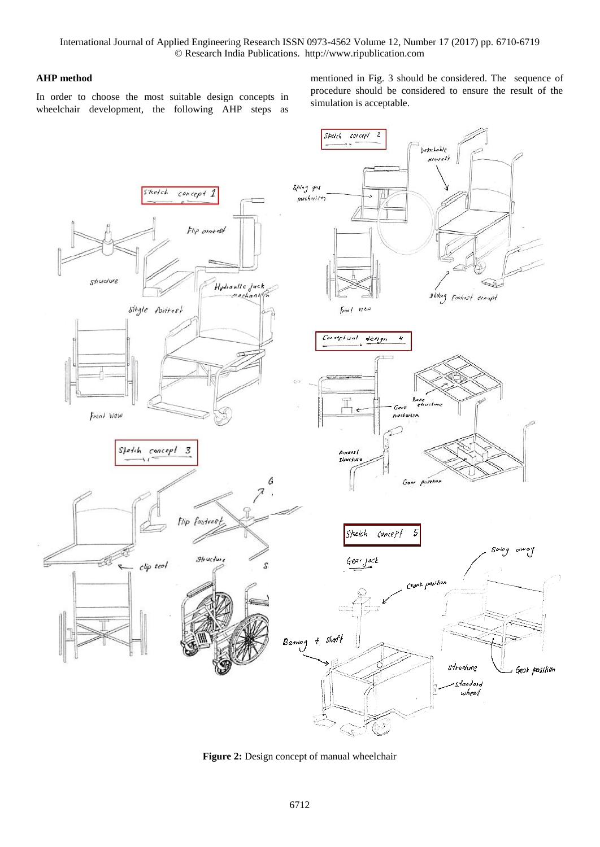# **AHP method**

In order to choose the most suitable design concepts in wheelchair development, the following AHP steps as mentioned in Fig. 3 should be considered. The sequence of procedure should be considered to ensure the result of the simulation is acceptable.



**Figure 2:** Design concept of manual wheelchair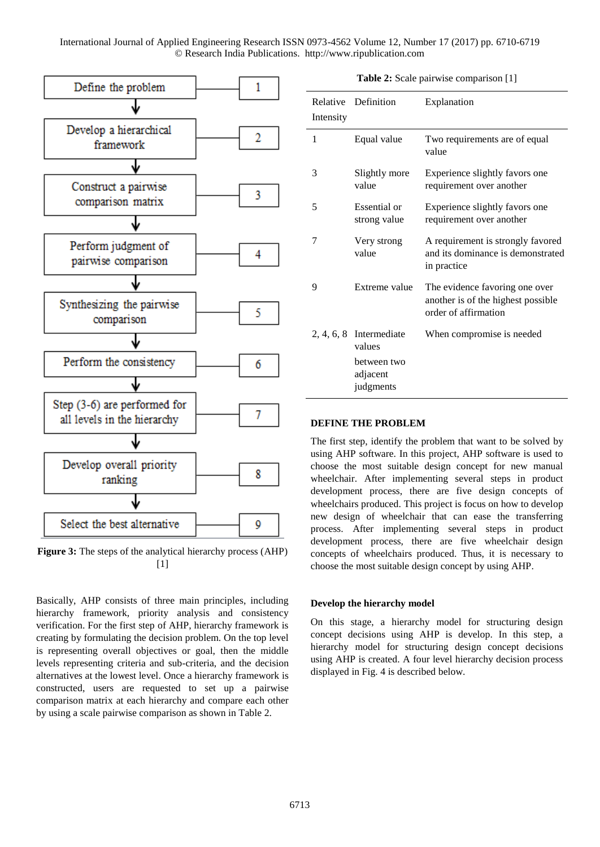

**Figure 3:** The steps of the analytical hierarchy process (AHP) [1]

Basically, AHP consists of three main principles, including hierarchy framework, priority analysis and consistency verification. For the first step of AHP, hierarchy framework is creating by formulating the decision problem. On the top level is representing overall objectives or goal, then the middle levels representing criteria and sub-criteria, and the decision alternatives at the lowest level. Once a hierarchy framework is constructed, users are requested to set up a pairwise comparison matrix at each hierarchy and compare each other by using a scale pairwise comparison as shown in Table 2.

**Table 2:** Scale pairwise comparison [1]

| Relative<br>Intensity | Definition                           | Explanation                                                                                  |
|-----------------------|--------------------------------------|----------------------------------------------------------------------------------------------|
| 1                     | Equal value                          | Two requirements are of equal<br>value                                                       |
| 3                     | Slightly more<br>value               | Experience slightly favors one<br>requirement over another                                   |
| 5                     | Essential or<br>strong value         | Experience slightly favors one<br>requirement over another                                   |
| 7                     | Very strong<br>value                 | A requirement is strongly favored<br>and its dominance is demonstrated<br>in practice        |
| 9                     | Extreme value                        | The evidence favoring one over<br>another is of the highest possible<br>order of affirmation |
|                       | $2, 4, 6, 8$ Intermediate<br>values  | When compromise is needed                                                                    |
|                       | between two<br>adjacent<br>judgments |                                                                                              |

#### **DEFINE THE PROBLEM**

The first step, identify the problem that want to be solved by using AHP software. In this project, AHP software is used to choose the most suitable design concept for new manual wheelchair. After implementing several steps in product development process, there are five design concepts of wheelchairs produced. This project is focus on how to develop new design of wheelchair that can ease the transferring process. After implementing several steps in product development process, there are five wheelchair design concepts of wheelchairs produced. Thus, it is necessary to choose the most suitable design concept by using AHP.

## **Develop the hierarchy model**

On this stage, a hierarchy model for structuring design concept decisions using AHP is develop. In this step, a hierarchy model for structuring design concept decisions using AHP is created. A four level hierarchy decision process displayed in Fig. 4 is described below.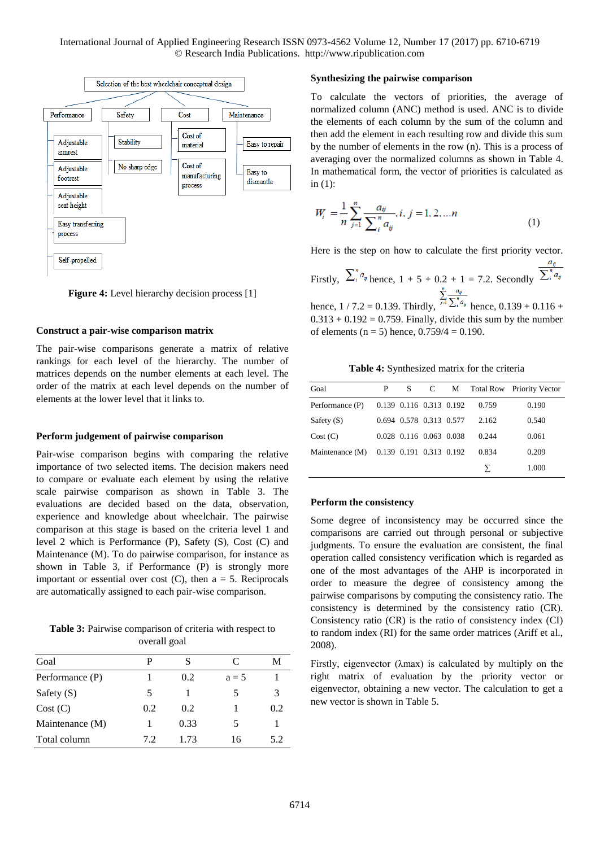

**Figure 4:** Level hierarchy decision process [1]

#### **Construct a pair-wise comparison matrix**

The pair-wise comparisons generate a matrix of relative rankings for each level of the hierarchy. The number of matrices depends on the number elements at each level. The order of the matrix at each level depends on the number of elements at the lower level that it links to.

## **Perform judgement of pairwise comparison**

Pair-wise comparison begins with comparing the relative importance of two selected items. The decision makers need to compare or evaluate each element by using the relative scale pairwise comparison as shown in Table 3. The evaluations are decided based on the data, observation, experience and knowledge about wheelchair. The pairwise comparison at this stage is based on the criteria level 1 and level 2 which is Performance (P), Safety (S), Cost (C) and Maintenance (M). To do pairwise comparison, for instance as shown in Table 3, if Performance (P) is strongly more important or essential over cost  $(C)$ , then  $a = 5$ . Reciprocals are automatically assigned to each pair-wise comparison.

**Table 3:** Pairwise comparison of criteria with respect to overall goal

| Goal            |     | S    | C       | М   |
|-----------------|-----|------|---------|-----|
| Performance (P) |     | 0.2  | $a = 5$ |     |
| Safety $(S)$    | 5   |      | 5       | 3   |
| Cost(C)         | 0.2 | 0.2  |         | 0.2 |
| Maintenance (M) |     | 0.33 | 5       |     |
| Total column    | 72  | 1 73 | 16      | 5.2 |

#### **Synthesizing the pairwise comparison**

To calculate the vectors of priorities, the average of normalized column (ANC) method is used. ANC is to divide the elements of each column by the sum of the column and then add the element in each resulting row and divide this sum by the number of elements in the row (n). This is a process of averaging over the normalized columns as shown in Table 4. In mathematical form, the vector of priorities is calculated as in (1):

$$
W_i = \frac{1}{n} \sum_{j=1}^n \frac{a_{ij}}{\sum_{i=1}^n a_{ij}}, i, j = 1, 2, \dots n
$$
 (1)

Here is the step on how to calculate the first priority vector.

Firstly, 
$$
\sum_{i}^{n} a_{ij}
$$
 hence,  $1 + 5 + 0.2 + 1 = 7.2$ . Secondly,  $\sum_{i}^{n} \frac{a_{ij}}{\sum_{i}^{n} a_{ij}}$   
hence,  $1/7.2 = 0.139$ . Thirdly,  $\sum_{i=1}^{n} \frac{a_{ij}}{\sum_{i}^{n} a_{ij}}$  hence,  $0.139 + 0.116 + 0.116 + 0.116 = 0.139$ .

hence,  $1/7.2 = 0.139$ . Thirdly,  $e^{j4}$   $\lambda_i^{a_i}$  hence,  $0.139 + 0.116 +$  $0.313 + 0.192 = 0.759$ . Finally, divide this sum by the number of elements ( $n = 5$ ) hence,  $0.759/4 = 0.190$ .

**Table 4:** Synthesized matrix for the criteria

| Goal            | P | S.                      | C | M |       | Total Row Priority Vector |
|-----------------|---|-------------------------|---|---|-------|---------------------------|
| Performance (P) |   | 0.139 0.116 0.313 0.192 |   |   | 0.759 | 0.190                     |
| Safety $(S)$    |   | 0.694 0.578 0.313 0.577 |   |   | 2.162 | 0.540                     |
| Cost (C)        |   | 0.028 0.116 0.063 0.038 |   |   | 0.244 | 0.061                     |
| Maintenance (M) |   | 0.139 0.191 0.313 0.192 |   |   | 0.834 | 0.209                     |
|                 |   |                         |   |   |       | 1.000                     |

#### **Perform the consistency**

Some degree of inconsistency may be occurred since the comparisons are carried out through personal or subjective judgments. To ensure the evaluation are consistent, the final operation called consistency verification which is regarded as one of the most advantages of the AHP is incorporated in order to measure the degree of consistency among the pairwise comparisons by computing the consistency ratio. The consistency is determined by the consistency ratio (CR). Consistency ratio (CR) is the ratio of consistency index (CI) to random index (RI) for the same order matrices (Ariff et al., 2008).

Firstly, eigenvector (λmax) is calculated by multiply on the right matrix of evaluation by the priority vector or eigenvector, obtaining a new vector. The calculation to get a new vector is shown in Table 5.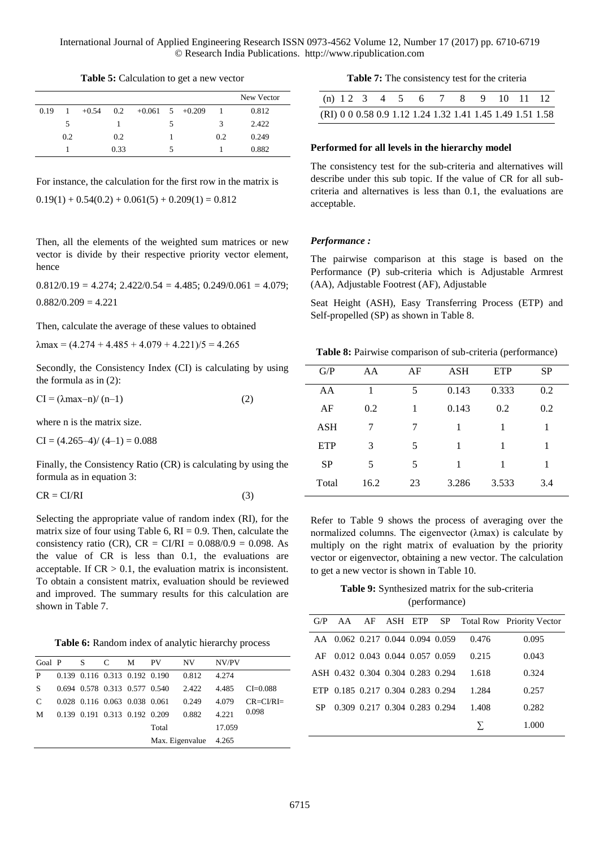**Table 5:** Calculation to get a new vector

|      |     |         |      |                     |   |     | New Vector |
|------|-----|---------|------|---------------------|---|-----|------------|
| 0.19 | -1  | $+0.54$ | 0.2  | $+0.061$ 5 $+0.209$ |   |     | 0.812      |
|      | 5   |         |      |                     | 5 | 3   | 2.422      |
|      | 0.2 |         | 0.2  |                     |   | 0.2 | 0.249      |
|      |     |         | 0.33 |                     | 5 |     | 0.882      |

For instance, the calculation for the first row in the matrix is

 $0.19(1) + 0.54(0.2) + 0.061(5) + 0.209(1) = 0.812$ 

Then, all the elements of the weighted sum matrices or new vector is divide by their respective priority vector element, hence

 $0.812/0.19 = 4.274$ ;  $2.422/0.54 = 4.485$ ;  $0.249/0.061 = 4.079$ ;  $0.882/0.209 = 4.221$ 

Then, calculate the average of these values to obtained

 $\lambda$ max = (4.274 + 4.485 + 4.079 + 4.221)/5 = 4.265

Secondly, the Consistency Index (CI) is calculating by using the formula as in (2):

$$
CI = (\lambda max - n) / (n-1)
$$
 (2)

where n is the matrix size.

 $CI = (4.265-4)/(4-1) = 0.088$ 

Finally, the Consistency Ratio (CR) is calculating by using the formula as in equation 3:

$$
CR = CI/RI
$$
 (3)

Selecting the appropriate value of random index (RI), for the matrix size of four using Table 6,  $RI = 0.9$ . Then, calculate the consistency ratio (CR),  $CR = C1/RI = 0.088/0.9 = 0.098$ . As the value of CR is less than 0.1, the evaluations are acceptable. If  $CR > 0.1$ , the evaluation matrix is inconsistent. To obtain a consistent matrix, evaluation should be reviewed and improved. The summary results for this calculation are shown in Table 7.

**Table 6:** Random index of analytic hierarchy process

| Goal P | S | C                             | M | <b>PV</b>       | NV    | NV/PV  |                    |
|--------|---|-------------------------------|---|-----------------|-------|--------|--------------------|
| P      |   | 0.139 0.116 0.313 0.192 0.190 |   |                 | 0.812 | 4.274  |                    |
| S      |   | 0.694 0.578 0.313 0.577 0.540 |   |                 | 2.422 | 4.485  | $CI = 0.088$       |
| C      |   | 0.028 0.116 0.063 0.038 0.061 |   |                 | 0.249 | 4.079  | $CR = C I / R I =$ |
| M      |   | 0.139 0.191 0.313 0.192 0.209 |   |                 | 0.882 | 4.221  | 0.098              |
|        |   |                               |   | Total           |       | 17.059 |                    |
|        |   |                               |   | Max. Eigenvalue |       | 4.265  |                    |

**Table 7:** The consistency test for the criteria

|  |  |  |  | (n) $12$ 3 4 5 6 7 8 9 10 11 12 |  |                                                           |
|--|--|--|--|---------------------------------|--|-----------------------------------------------------------|
|  |  |  |  |                                 |  | (RI) 0 0 0.58 0.9 1.12 1.24 1.32 1.41 1.45 1.49 1.51 1.58 |

## **Performed for all levels in the hierarchy model**

The consistency test for the sub-criteria and alternatives will describe under this sub topic. If the value of CR for all subcriteria and alternatives is less than 0.1, the evaluations are acceptable.

#### *Performance :*

The pairwise comparison at this stage is based on the Performance (P) sub-criteria which is Adjustable Armrest (AA), Adjustable Footrest (AF), Adjustable

Seat Height (ASH), Easy Transferring Process (ETP) and Self-propelled (SP) as shown in Table 8.

**Table 8:** Pairwise comparison of sub-criteria (performance)

| G/P        | AA   | AF | <b>ASH</b> | <b>ETP</b> | <b>SP</b> |
|------------|------|----|------------|------------|-----------|
| AA         |      | 5  | 0.143      | 0.333      | 0.2       |
| AF         | 0.2  | 1  | 0.143      | 0.2        | 0.2       |
| ASH        | 7    | 7  | 1          | 1          | 1         |
| <b>ETP</b> | 3    | 5  | 1          |            | 1         |
| <b>SP</b>  | 5    | 5  | 1          |            |           |
| Total      | 16.2 | 23 | 3.286      | 3.533      | 3.4       |

Refer to Table 9 shows the process of averaging over the normalized columns. The eigenvector (λmax) is calculate by multiply on the right matrix of evaluation by the priority vector or eigenvector, obtaining a new vector. The calculation to get a new vector is shown in Table 10.

**Table 9:** Synthesized matrix for the sub-criteria (performance)

| G/P |                                   |  |       | AA AF ASH ETP SP Total Row Priority Vector |
|-----|-----------------------------------|--|-------|--------------------------------------------|
|     | AA 0.062 0.217 0.044 0.094 0.059  |  | 0.476 | 0.095                                      |
| AF  | 0.012 0.043 0.044 0.057 0.059     |  | 0.215 | 0.043                                      |
|     | ASH 0.432 0.304 0.304 0.283 0.294 |  | 1.618 | 0.324                                      |
|     | ETP 0.185 0.217 0.304 0.283 0.294 |  | 1.284 | 0.257                                      |
| SP  | 0.309 0.217 0.304 0.283 0.294     |  | 1.408 | 0.282                                      |
|     |                                   |  |       | 1.000                                      |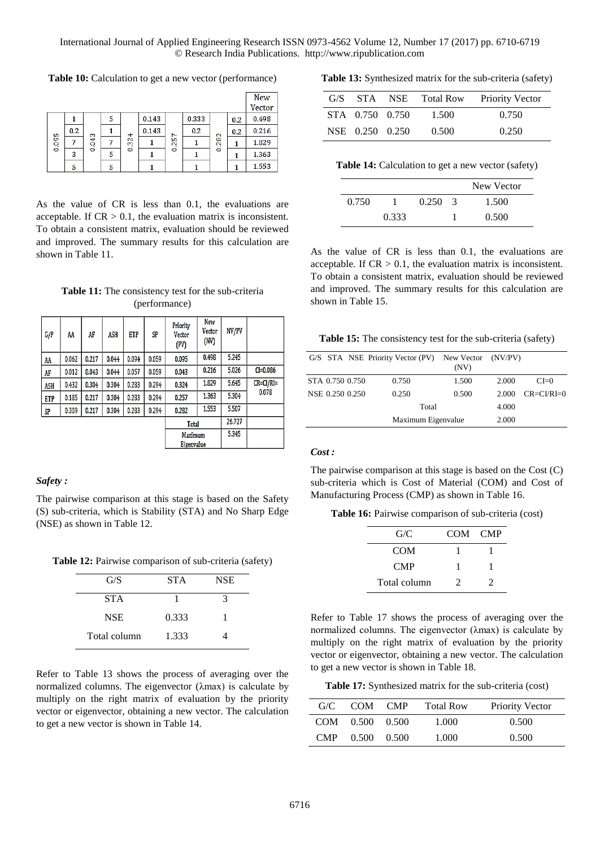**Table 10:** Calculation to get a new vector (performance)

|       |     |        |   |                   |       |        |       |           |     | <b>New</b> |
|-------|-----|--------|---|-------------------|-------|--------|-------|-----------|-----|------------|
|       |     |        |   |                   |       |        |       |           |     | Vector     |
|       |     |        | 5 |                   | 0.143 |        | 0.333 |           | 0.2 | 0.498      |
|       | 0.2 | S      |   | ↔                 | 0.143 | N      | 0.2   |           | 0.2 | 0.216      |
| 0.095 |     | ÷<br>o |   | $\mathbf{N}$<br>m |       | m<br>Ŋ |       | 282       |     | 1.829      |
|       | 3   | 0      | 5 | 0                 |       | 0      |       | $\bullet$ |     | 1.363      |
|       | 5   |        | 5 |                   |       |        |       |           |     | 1.553      |

As the value of CR is less than 0.1, the evaluations are acceptable. If  $CR > 0.1$ , the evaluation matrix is inconsistent. To obtain a consistent matrix, evaluation should be reviewed and improved. The summary results for this calculation are shown in Table 11.

**Table 11:** The consistency test for the sub-criteria (performance)

| G/P        | AA    | AF    | <b>ASH</b> | <b>ETP</b> | SP                    | Priority<br>Vector<br>(PV) | New<br>Vector<br>(NV) | NV/PV  |                |
|------------|-------|-------|------------|------------|-----------------------|----------------------------|-----------------------|--------|----------------|
| AA         | 0.062 | 0.217 | 0.044      | 0.094      | 0.059                 | 0.095                      | 0.498                 | 5.245  |                |
| AF         | 0.012 | 0.043 | 0.044      | 0.057      | 0.059                 | 0.043                      | 0.216                 | 5.026  | $CI = 0.086$   |
| <b>ASH</b> | 0.432 | 0.304 | 0.304      | 0.283      | 0.294                 | 0.324                      | 1.829                 | 5.645  | $CR = CI/RI =$ |
| <b>ETP</b> | 0.185 | 0.217 | 0.304      | 0.283      | 0.294                 | 0.257                      | 1.363                 | 5.304  | 0.078          |
| SP         | 0.309 | 0.217 | 0.304      | 0.283      | 0.294                 | 0.282                      | 1.553                 | 5.507  |                |
|            |       |       |            |            |                       | Total                      |                       | 26,727 |                |
|            |       |       |            |            | Maximum<br>Eigenvalue |                            | 5.345                 |        |                |

## *Safety :*

The pairwise comparison at this stage is based on the Safety (S) sub-criteria, which is Stability (STA) and No Sharp Edge (NSE) as shown in Table 12.

Table 12: Pairwise comparison of sub-criteria (safety)

| G/S          | <b>STA</b> | <b>NSE</b>           |  |  |
|--------------|------------|----------------------|--|--|
| <b>STA</b>   |            | $\blacktriangleleft$ |  |  |
| <b>NSE</b>   | 0.333      |                      |  |  |
| Total column | 1.333      |                      |  |  |

Refer to Table 13 shows the process of averaging over the normalized columns. The eigenvector (λmax) is calculate by multiply on the right matrix of evaluation by the priority vector or eigenvector, obtaining a new vector. The calculation to get a new vector is shown in Table 14.

**Table 13:** Synthesized matrix for the sub-criteria (safety)

|                 | G/S STA NSE Total Row | <b>Priority Vector</b> |
|-----------------|-----------------------|------------------------|
| STA 0.750 0.750 | 1.500                 | 0.750                  |
| NSE 0.250 0.250 | 0.500                 | 0.250                  |

Table 14: Calculation to get a new vector (safety)

|       |       |       |               | New Vector |
|-------|-------|-------|---------------|------------|
| 0.750 |       | 0.250 | $\mathcal{R}$ | 1.500      |
|       | 0.333 |       |               | 0.500      |

As the value of CR is less than 0.1, the evaluations are acceptable. If  $CR > 0.1$ , the evaluation matrix is inconsistent. To obtain a consistent matrix, evaluation should be reviewed and improved. The summary results for this calculation are shown in Table 15.

**Table 15:** The consistency test for the sub-criteria (safety)

|                 | G/S STA NSE Priority Vector (PV) New Vector (NV/PV) | (NV)               |       |                    |
|-----------------|-----------------------------------------------------|--------------------|-------|--------------------|
| STA 0.750 0.750 | 0.750                                               | 1.500              | 2.000 | $CI=0$             |
| NSE 0.250 0.250 | 0.250                                               | 0.500              | 2.000 | $CR = C I/R I = 0$ |
|                 | Total                                               |                    | 4.000 |                    |
|                 |                                                     | Maximum Eigenvalue |       |                    |

#### *Cost :*

The pairwise comparison at this stage is based on the Cost (C) sub-criteria which is Cost of Material (COM) and Cost of Manufacturing Process (CMP) as shown in Table 16.

Table 16: Pairwise comparison of sub-criteria (cost)

| G/C          | COM CMP |   |
|--------------|---------|---|
| COM          |         |   |
| <b>CMP</b>   |         |   |
| Total column | 7       | 7 |

Refer to Table 17 shows the process of averaging over the normalized columns. The eigenvector (λmax) is calculate by multiply on the right matrix of evaluation by the priority vector or eigenvector, obtaining a new vector. The calculation to get a new vector is shown in Table 18.

**Table 17:** Synthesized matrix for the sub-criteria (cost)

| G/C.  |                 | COM CMP | <b>Total Row</b> | <b>Priority Vector</b> |
|-------|-----------------|---------|------------------|------------------------|
|       | COM 0.500 0.500 |         | 1.000            | 0.500                  |
| CMP – | 0.500 0.500     |         | 1.000            | 0.500                  |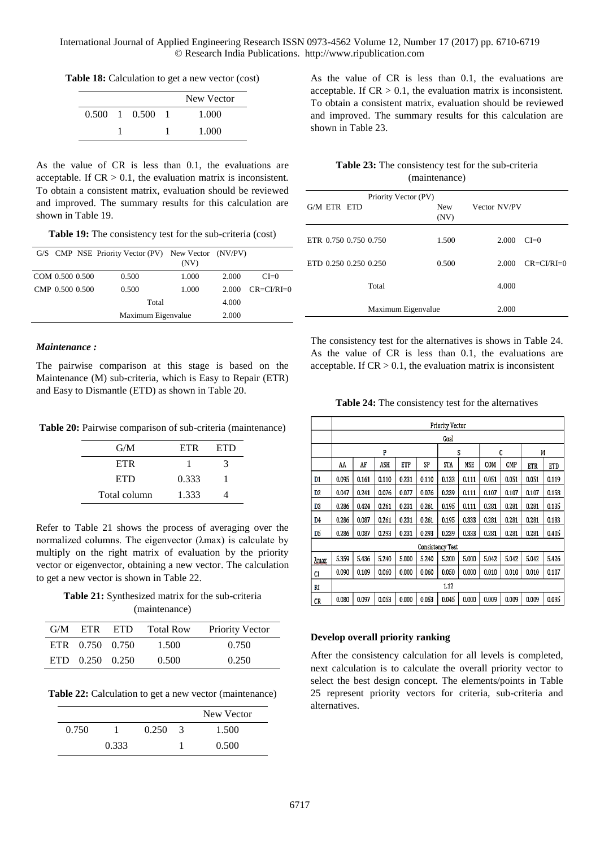**Table 18:** Calculation to get a new vector (cost)

|  |                             | New Vector |
|--|-----------------------------|------------|
|  | $0.500 \quad 1 \quad 0.500$ | 1.000      |
|  |                             | 1.000      |

As the value of CR is less than 0.1, the evaluations are acceptable. If  $CR > 0.1$ , the evaluation matrix is inconsistent. To obtain a consistent matrix, evaluation should be reviewed and improved. The summary results for this calculation are shown in Table 19.

**Table 19:** The consistency test for the sub-criteria (cost)

|                 | G/S CMP NSE Priority Vector (PV) New Vector (NV/PV) | (NV)               |       |                 |
|-----------------|-----------------------------------------------------|--------------------|-------|-----------------|
| COM 0.500 0.500 | 0.500                                               | 1.000              | 2.000 | $CI=0$          |
| CMP 0.500 0.500 | 0.500                                               | 1.000              | 2.000 | $CR = CVRI = 0$ |
|                 | Total                                               |                    | 4.000 |                 |
|                 |                                                     | Maximum Eigenvalue |       |                 |

# *Maintenance :*

The pairwise comparison at this stage is based on the Maintenance (M) sub-criteria, which is Easy to Repair (ETR) and Easy to Dismantle (ETD) as shown in Table 20.

Table 20: Pairwise comparison of sub-criteria (maintenance)

| G/M          | <b>ETR</b> | <b>ETD</b> |
|--------------|------------|------------|
| <b>ETR</b>   |            | 3          |
| <b>ETD</b>   | 0.333      |            |
| Total column | 1.333      |            |

Refer to Table 21 shows the process of averaging over the normalized columns. The eigenvector (λmax) is calculate by multiply on the right matrix of evaluation by the priority vector or eigenvector, obtaining a new vector. The calculation to get a new vector is shown in Table 22.

**Table 21:** Synthesized matrix for the sub-criteria (maintenance)

|                 | G/M ETR ETD Total Row | <b>Priority Vector</b> |
|-----------------|-----------------------|------------------------|
| ETR 0.750 0.750 | 1.500                 | 0.750                  |
| ETD 0.250 0.250 | 0.500                 | 0.250                  |

**Table 22:** Calculation to get a new vector (maintenance)

|       |       |       |               | New Vector |
|-------|-------|-------|---------------|------------|
| 0.750 |       | 0.250 | $\mathcal{R}$ | 1.500      |
|       | 0.333 |       |               | 0.500      |

As the value of CR is less than 0.1, the evaluations are acceptable. If  $CR > 0.1$ , the evaluation matrix is inconsistent. To obtain a consistent matrix, evaluation should be reviewed and improved. The summary results for this calculation are shown in Table 23.

| <b>Table 23:</b> The consistency test for the sub-criteria |
|------------------------------------------------------------|
| (maintenance)                                              |

|                       | Priority Vector (PV) |                    |              |                    |
|-----------------------|----------------------|--------------------|--------------|--------------------|
| G/M ETR ETD           |                      | <b>New</b><br>(NV) | Vector NV/PV |                    |
| ETR 0.750 0.750 0.750 |                      | 1.500              | 2.000        | $CI=0$             |
| ETD 0.250 0.250 0.250 |                      | 0.500              | 2.000        | $CR = C I/R I = 0$ |
|                       | Total                |                    | 4.000        |                    |
|                       | Maximum Eigenvalue   |                    | 2.000        |                    |

The consistency test for the alternatives is shows in Table 24. As the value of CR is less than 0.1, the evaluations are acceptable. If  $CR > 0.1$ , the evaluation matrix is inconsistent

**Table 24:** The consistency test for the alternatives

|      | <b>Priority Vector</b>  |       |       |            |       |            |            |       |            |            |            |
|------|-------------------------|-------|-------|------------|-------|------------|------------|-------|------------|------------|------------|
|      |                         | Goal  |       |            |       |            |            |       |            |            |            |
|      | P                       |       |       |            | S     |            | C          |       | M          |            |            |
|      | AA                      | AF    | ASH   | <b>ETP</b> | SP    | <b>STA</b> | <b>NSE</b> | COM   | <b>CMP</b> | <b>ETR</b> | <b>ETD</b> |
| D1   | 0.095                   | 0.161 | 0.110 | 0.231      | 0.110 | 0.133      | 0.111      | 0.051 | 0.051      | 0.051      | 0.119      |
| D2   | 0.047                   | 0.241 | 0.076 | 0.077      | 0.076 | 0.239      | 0.111      | 0.107 | 0.107      | 0.107      | 0.158      |
| D3   | 0.286                   | 0.424 | 0.261 | 0.231      | 0.261 | 0.195      | 0.111      | 0.281 | 0.281      | 0.281      | 0.135      |
| D4   | 0.286                   | 0.087 | 0.261 | 0.231      | 0.261 | 0.195      | 0.333      | 0.281 | 0.281      | 0.281      | 0.183      |
| D5   | 0.286                   | 0.087 | 0.293 | 0.231      | 0.293 | 0.239      | 0.333      | 0.281 | 0.281      | 0.281      | 0.405      |
|      | <b>Consistency Test</b> |       |       |            |       |            |            |       |            |            |            |
| Amax | 5.359                   | 5.436 | 5.240 | 5.000      | 5.240 | 5.200      | 5.000      | 5.042 | 5.042      | 5.042      | 5.426      |
| CI   | 0.090                   | 0.109 | 0.060 | 0.000      | 0.060 | 0.050      | 0.000      | 0.010 | 0.010      | 0.010      | 0.107      |
| RI   | 1.12                    |       |       |            |       |            |            |       |            |            |            |
| CR   | 0.080                   | 0.097 | 0.053 | 0.000      | 0.053 | 0.045      | 0.000      | 0.009 | 0.009      | 0.009      | 0.095      |

# **Develop overall priority ranking**

After the consistency calculation for all levels is completed, next calculation is to calculate the overall priority vector to select the best design concept. The elements/points in Table 25 represent priority vectors for criteria, sub-criteria and alternatives.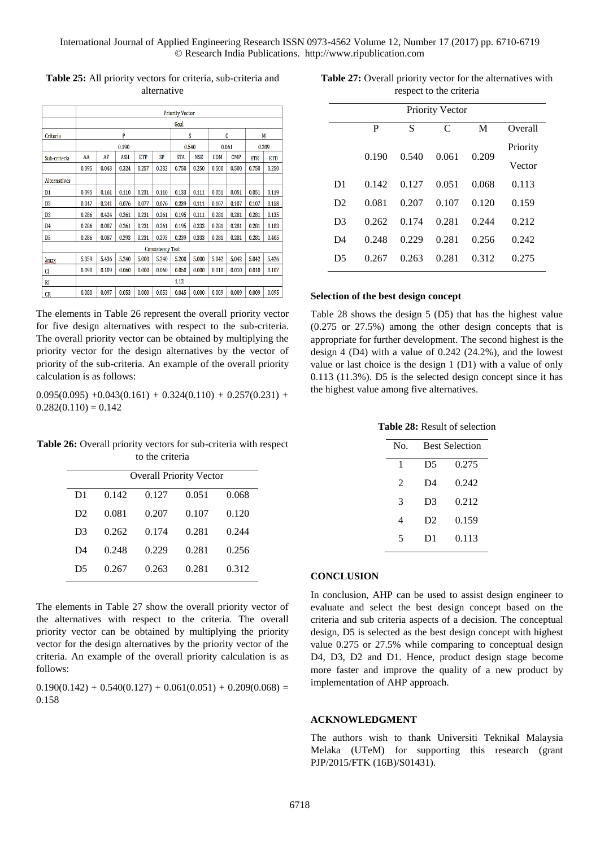|                         | <b>Priority Vector</b> |       |            |            |           |            |            |            |            |            |            |
|-------------------------|------------------------|-------|------------|------------|-----------|------------|------------|------------|------------|------------|------------|
|                         | Goal                   |       |            |            |           |            |            |            |            |            |            |
| Criteria                | P                      |       |            | S          |           | C          |            | M          |            |            |            |
|                         | 0.190                  |       |            | 0.540      |           | 0.061      |            | 0.209      |            |            |            |
| Sub-criteria            | AA                     | AF    | <b>ASH</b> | <b>ETP</b> | <b>SP</b> | <b>STA</b> | <b>NSE</b> | <b>COM</b> | <b>CMP</b> | <b>ETR</b> | <b>ETD</b> |
|                         | 0.095                  | 0.043 | 0.324      | 0.257      | 0.282     | 0.750      | 0.250      | 0.500      | 0.500      | 0.750      | 0.250      |
| Alternatives            |                        |       |            |            |           |            |            |            |            |            |            |
| D1                      | 0.095                  | 0.161 | 0.110      | 0.231      | 0.110     | 0.133      | 0.111      | 0.051      | 0.051      | 0.051      | 0.119      |
| D <sub>2</sub>          | 0.047                  | 0.241 | 0.076      | 0.077      | 0.076     | 0.239      | 0.111      | 0.107      | 0.107      | 0.107      | 0.158      |
| D <sub>3</sub>          | 0.286                  | 0.424 | 0.261      | 0.231      | 0.261     | 0.195      | 0.111      | 0.281      | 0.281      | 0.281      | 0.135      |
| D4                      | 0.286                  | 0.087 | 0.261      | 0.231      | 0.261     | 0.195      | 0.333      | 0.281      | 0.281      | 0.281      | 0.183      |
| D5                      | 0.286                  | 0.087 | 0.293      | 0.231      | 0.293     | 0.239      | 0.333      | 0.281      | 0.281      | 0.281      | 0.405      |
| <b>Consistency Test</b> |                        |       |            |            |           |            |            |            |            |            |            |
| $\lambda$ max           | 5.359                  | 5.436 | 5.240      | 5.000      | 5.240     | 5.200      | 5.000      | 5.042      | 5.042      | 5.042      | 5.426      |
| CI                      | 0.090                  | 0.109 | 0.060      | 0.000      | 0.060     | 0.050      | 0.000      | 0.010      | 0.010      | 0.010      | 0.107      |
| RI                      | 1.12                   |       |            |            |           |            |            |            |            |            |            |
| CR <sub>1</sub>         | 0.080                  | 0.097 | 0.053      | 0.000      | 0.053     | 0.045      | 0.000      | 0.009      | 0.009      | 0.009      | 0.095      |

**Table 25:** All priority vectors for criteria, sub-criteria and alternative

The elements in Table 26 represent the overall priority vector for five design alternatives with respect to the sub-criteria. The overall priority vector can be obtained by multiplying the priority vector for the design alternatives by the vector of priority of the sub-criteria. An example of the overall priority calculation is as follows:

 $0.095(0.095) +0.043(0.161) + 0.324(0.110) + 0.257(0.231) +$  $0.282(0.110) = 0.142$ 

**Table 26:** Overall priority vectors for sub-criteria with respect to the criteria

|                |       |       | <b>Overall Priority Vector</b> |       |
|----------------|-------|-------|--------------------------------|-------|
| D1             | 0.142 | 0.127 | 0.051                          | 0.068 |
| D <sub>2</sub> | 0.081 | 0.207 | 0.107                          | 0.120 |
| D3             | 0.262 | 0.174 | 0.281                          | 0.244 |
| D4             | 0.248 | 0.229 | 0.281                          | 0.256 |
| D5             | 0.267 | 0.263 | 0.281                          | 0.312 |

The elements in Table 27 show the overall priority vector of the alternatives with respect to the criteria. The overall priority vector can be obtained by multiplying the priority vector for the design alternatives by the priority vector of the criteria. An example of the overall priority calculation is as follows:

 $0.190(0.142) + 0.540(0.127) + 0.061(0.051) + 0.209(0.068) =$ 0.158

**Table 27:** Overall priority vector for the alternatives with respect to the criteria

| <b>Priority Vector</b> |       |       |       |       |          |  |  |  |
|------------------------|-------|-------|-------|-------|----------|--|--|--|
|                        | P     | S     | C     | M     | Overall  |  |  |  |
|                        | 0.190 | 0.540 | 0.061 | 0.209 | Priority |  |  |  |
|                        |       |       |       |       | Vector   |  |  |  |
| D <sub>1</sub>         | 0.142 | 0.127 | 0.051 | 0.068 | 0.113    |  |  |  |
| D2                     | 0.081 | 0.207 | 0.107 | 0.120 | 0.159    |  |  |  |
| D <sub>3</sub>         | 0.262 | 0.174 | 0.281 | 0.244 | 0.212    |  |  |  |
| D <sub>4</sub>         | 0.248 | 0.229 | 0.281 | 0.256 | 0.242    |  |  |  |
| D <sub>5</sub>         | 0.267 | 0.263 | 0.281 | 0.312 | 0.275    |  |  |  |

## **Selection of the best design concept**

Table 28 shows the design 5 (D5) that has the highest value (0.275 or 27.5%) among the other design concepts that is appropriate for further development. The second highest is the design 4 (D4) with a value of 0.242 (24.2%), and the lowest value or last choice is the design 1 (D1) with a value of only 0.113 (11.3%). D5 is the selected design concept since it has the highest value among five alternatives.

**Table 28:** Result of selection

| No.                         | <b>Best Selection</b> |       |  |  |  |
|-----------------------------|-----------------------|-------|--|--|--|
| 1                           | D5                    | 0.275 |  |  |  |
| $\mathcal{D}_{\mathcal{L}}$ | D4                    | 0.242 |  |  |  |
| 3                           | D3                    | 0.212 |  |  |  |
| 4                           | D <sub>2</sub>        | 0.159 |  |  |  |
| 5                           | D1                    | 0.113 |  |  |  |

## **CONCLUSION**

In conclusion, AHP can be used to assist design engineer to evaluate and select the best design concept based on the criteria and sub criteria aspects of a decision. The conceptual design, D5 is selected as the best design concept with highest value 0.275 or 27.5% while comparing to conceptual design D4, D3, D2 and D1. Hence, product design stage become more faster and improve the quality of a new product by implementation of AHP approach.

# **ACKNOWLEDGMENT**

The authors wish to thank Universiti Teknikal Malaysia Melaka (UTeM) for supporting this research (grant PJP/2015/FTK (16B)/S01431).